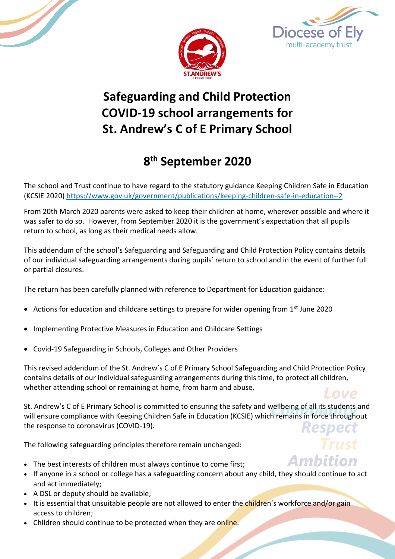





**Ambition** 

# **Safeguarding and Child Protection COVID-19 school arrangements for St. Andrew's C of E Primary School**

# **8 th September 2020**

The school and Trust continue to have regard to the statutory guidance Keeping Children Safe in Education (KCSIE 2020)<https://www.gov.uk/government/publications/keeping-children-safe-in-education--2>

From 20th March 2020 parents were asked to keep their children at home, wherever possible and where it was safer to do so. However, from September 2020 it is the government's expectation that all pupils return to school, as long as their medical needs allow.

This addendum of the school's Safeguarding and Safeguarding and Child Protection Policy contains details of our individual safeguarding arrangements during pupils' return to school and in the event of further full or partial closures.

The return has been carefully planned with reference to Department for Education guidance:

- Actions for education and childcare settings to prepare for wider opening from  $1<sup>st</sup>$  June 2020
- Implementing Protective Measures in Education and Childcare Settings
- Covid-19 Safeguarding in Schools, Colleges and Other Providers

This revised addendum of the St. Andrew's C of E Primary School Safeguarding and Child Protection Policy contains details of our individual safeguarding arrangements during this time, to protect all children, whether attending school or remaining at home, from harm and abuse. Love

St. Andrew's C of E Primary School is committed to ensuring the safety and wellbeing of all its students and will ensure compliance with Keeping Children Safe in Education (KCSIE) which remains in force throughout the response to coronavirus (COVID-19).

The following safeguarding principles therefore remain unchanged:

- The best interests of children must always continue to come first;
- If anyone in a school or college has a safeguarding concern about any child, they should continue to act and act immediately;
- A DSL or deputy should be available;
- It is essential that unsuitable people are not allowed to enter the children's workforce and/or gain access to children;
- Children should continue to be protected when they are online.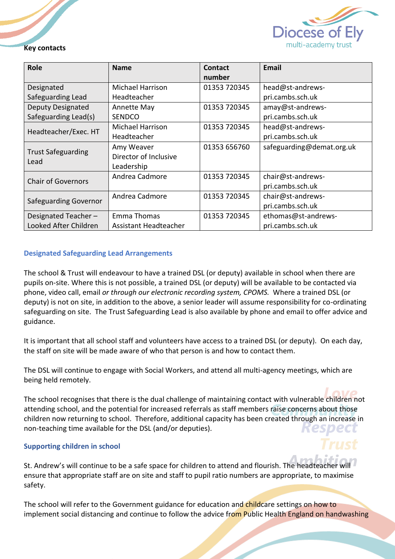

#### **Key contacts**

| <b>Role</b>                       | <b>Name</b>             | Contact<br>number | Email                     |
|-----------------------------------|-------------------------|-------------------|---------------------------|
| Designated                        | Michael Harrison        | 01353 720345      | head@st-andrews-          |
| Safeguarding Lead                 | Headteacher             |                   | pri.cambs.sch.uk          |
| <b>Deputy Designated</b>          | Annette May             | 01353 720345      | amay@st-andrews-          |
| Safeguarding Lead(s)              | <b>SENDCO</b>           |                   | pri.cambs.sch.uk          |
| Headteacher/Exec. HT              | <b>Michael Harrison</b> | 01353 720345      | head@st-andrews-          |
|                                   | Headteacher             |                   | pri.cambs.sch.uk          |
| <b>Trust Safeguarding</b><br>Lead | Amy Weaver              | 01353 656760      | safeguarding@demat.org.uk |
|                                   | Director of Inclusive   |                   |                           |
|                                   | Leadership              |                   |                           |
| <b>Chair of Governors</b>         | Andrea Cadmore          | 01353 720345      | chair@st-andrews-         |
|                                   |                         |                   | pri.cambs.sch.uk          |
| Safeguarding Governor             | Andrea Cadmore          | 01353 720345      | chair@st-andrews-         |
|                                   |                         |                   | pri.cambs.sch.uk          |
| Designated Teacher-               | Emma Thomas             | 01353 720345      | ethomas@st-andrews-       |
| Looked After Children             | Assistant Headteacher   |                   | pri.cambs.sch.uk          |

#### **Designated Safeguarding Lead Arrangements**

The school & Trust will endeavour to have a trained DSL (or deputy) available in school when there are pupils on-site. Where this is not possible, a trained DSL (or deputy) will be available to be contacted via phone, video call, email *or through our electronic recording system, CPOMS.* Where a trained DSL (or deputy) is not on site, in addition to the above, a senior leader will assume responsibility for co-ordinating safeguarding on site. The Trust Safeguarding Lead is also available by phone and email to offer advice and guidance.

It is important that all school staff and volunteers have access to a trained DSL (or deputy). On each day, the staff on site will be made aware of who that person is and how to contact them.

The DSL will continue to engage with Social Workers, and attend all multi-agency meetings, which are being held remotely.

The school recognises that there is the dual challenge of maintaining contact with vulnerable children not attending school, and the potential for increased referrals as staff members raise concerns about those children now returning to school. Therefore, additional capacity has been created through an increase in non-teaching time available for the DSL (and/or deputies).

#### **Supporting children in school**

St. Andrew's will continue to be a safe space for children to attend and flourish. The headteacher will ensure that appropriate staff are on site and staff to pupil ratio numbers are appropriate, to maximise safety.

The school will refer to the Government guidance for education and childcare settings on how to implement social distancing and continue to follow the advice from Public Health England on handwashing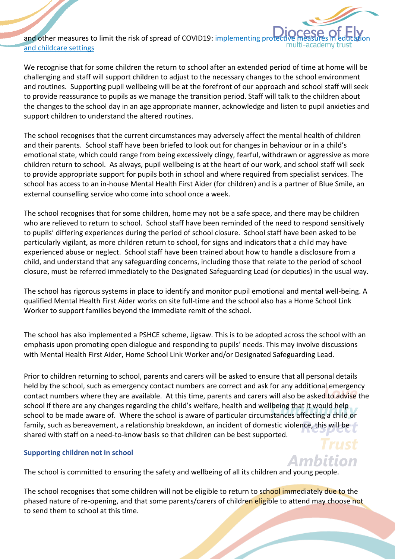and other measures to limit the risk of spread of COVID19: implementing pro [and childcare settings](https://www.gov.uk/government/publications/coronavirus-covid-19-implementing-protective-measures-in-education-and-childcare-settings)

We recognise that for some children the return to school after an extended period of time at home will be challenging and staff will support children to adjust to the necessary changes to the school environment and routines. Supporting pupil wellbeing will be at the forefront of our approach and school staff will seek to provide reassurance to pupils as we manage the transition period. Staff will talk to the children about the changes to the school day in an age appropriate manner, acknowledge and listen to pupil anxieties and support children to understand the altered routines.

The school recognises that the current circumstances may adversely affect the mental health of children and their parents. School staff have been briefed to look out for changes in behaviour or in a child's emotional state, which could range from being excessively clingy, fearful, withdrawn or aggressive as more children return to school. As always, pupil wellbeing is at the heart of our work, and school staff will seek to provide appropriate support for pupils both in school and where required from specialist services. The school has access to an in-house Mental Health First Aider (for children) and is a partner of Blue Smile, an external counselling service who come into school once a week.

The school recognises that for some children, home may not be a safe space, and there may be children who are relieved to return to school. School staff have been reminded of the need to respond sensitively to pupils' differing experiences during the period of school closure. School staff have been asked to be particularly vigilant, as more children return to school, for signs and indicators that a child may have experienced abuse or neglect. School staff have been trained about how to handle a disclosure from a child, and understand that any safeguarding concerns, including those that relate to the period of school closure, must be referred immediately to the Designated Safeguarding Lead (or deputies) in the usual way.

The school has rigorous systems in place to identify and monitor pupil emotional and mental well-being. A qualified Mental Health First Aider works on site full-time and the school also has a Home School Link Worker to support families beyond the immediate remit of the school.

The school has also implemented a PSHCE scheme, Jigsaw. This is to be adopted across the school with an emphasis upon promoting open dialogue and responding to pupils' needs. This may involve discussions with Mental Health First Aider, Home School Link Worker and/or Designated Safeguarding Lead.

Prior to children returning to school, parents and carers will be asked to ensure that all personal details held by the school, such as emergency contact numbers are correct and ask for any additional emergency contact numbers where they are available. At this time, parents and carers will also be asked to advise the school if there are any changes regarding the child's welfare, health and wellbeing that it would help school to be made aware of. Where the school is aware of particular circumstances affecting a child or family, such as bereavement, a relationship breakdown, an incident of domestic violence, this will be shared with staff on a need-to-know basis so that children can be best supported.

#### **Supporting children not in school**

The school is committed to ensuring the safety and wellbeing of all its children and young people.

The school recognises that some children will not be eligible to return to school immediately due to the phased nature of re-opening, and that some parents/carers of children eligible to attend may choose not to send them to school at this time.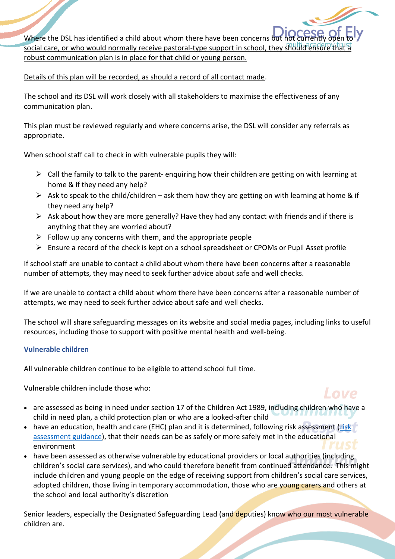Where the DSL has identified a child about whom there have been concerns b social care, or who would normally receive pastoral-type support in school, they sho robust communication plan is in place for that child or young person.

Details of this plan will be recorded, as should a record of all contact made.

The school and its DSL will work closely with all stakeholders to maximise the effectiveness of any communication plan.

This plan must be reviewed regularly and where concerns arise, the DSL will consider any referrals as appropriate.

When school staff call to check in with vulnerable pupils they will:

- $\triangleright$  Call the family to talk to the parent- enquiring how their children are getting on with learning at home & if they need any help?
- $\triangleright$  Ask to speak to the child/children ask them how they are getting on with learning at home & if they need any help?
- $\triangleright$  Ask about how they are more generally? Have they had any contact with friends and if there is anything that they are worried about?
- $\triangleright$  Follow up any concerns with them, and the appropriate people
- $\triangleright$  Ensure a record of the check is kept on a school spreadsheet or CPOMs or Pupil Asset profile

If school staff are unable to contact a child about whom there have been concerns after a reasonable number of attempts, they may need to seek further advice about safe and well checks.

If we are unable to contact a child about whom there have been concerns after a reasonable number of attempts, we may need to seek further advice about safe and well checks.

The school will share safeguarding messages on its website and social media pages, including links to useful resources, including those to support with positive mental health and well-being.

#### **Vulnerable children**

All vulnerable children continue to be eligible to attend school full time.

Vulnerable children include those who:



l ove

- have an education, health and care (EHC) plan and it is determined, following risk assessment (risk [assessment guidance\)](https://www.gov.uk/government/publications/coronavirus-covid-19-send-risk-assessment-guidance/coronavirus-covid-19-send-risk-assessment-guidance), that their needs can be as safely or more safely met in the educational environment
- have been assessed as otherwise vulnerable by educational providers or local authorities (including children's social care services), and who could therefore benefit from continued attendance. This might include children and young people on the edge of receiving support from children's social care services, adopted children, those living in temporary accommodation, those who are young carers and others at the school and local authority's discretion

Senior leaders, especially the Designated Safeguarding Lead (and deputies) know who our most vulnerable children are.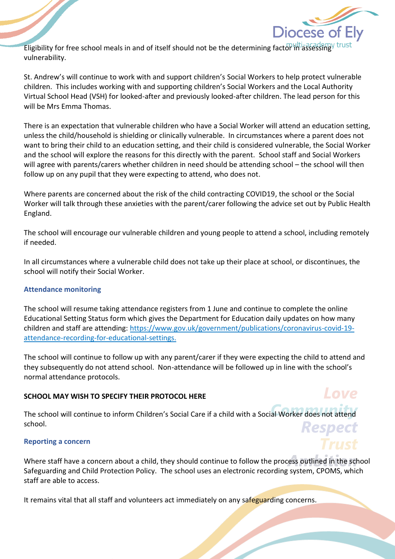

Love

Eligibility for free school meals in and of itself should not be the determining factor in assessing trust vulnerability.

St. Andrew's will continue to work with and support children's Social Workers to help protect vulnerable children. This includes working with and supporting children's Social Workers and the Local Authority Virtual School Head (VSH) for looked-after and previously looked-after children. The lead person for this will be Mrs Emma Thomas.

There is an expectation that vulnerable children who have a Social Worker will attend an education setting, unless the child/household is shielding or clinically vulnerable. In circumstances where a parent does not want to bring their child to an education setting, and their child is considered vulnerable, the Social Worker and the school will explore the reasons for this directly with the parent. School staff and Social Workers will agree with parents/carers whether children in need should be attending school – the school will then follow up on any pupil that they were expecting to attend, who does not.

Where parents are concerned about the risk of the child contracting COVID19, the school or the Social Worker will talk through these anxieties with the parent/carer following the advice set out by Public Health England.

The school will encourage our vulnerable children and young people to attend a school, including remotely if needed.

In all circumstances where a vulnerable child does not take up their place at school, or discontinues, the school will notify their Social Worker.

# **Attendance monitoring**

The school will resume taking attendance registers from 1 June and continue to complete the online Educational Setting Status form which gives the Department for Education daily updates on how many children and staff are attending: [https://www.gov.uk/government/publications/coronavirus-covid-19](https://www.gov.uk/government/publications/coronavirus-covid-19-attendance-recording-for-educational-settings) [attendance-recording-for-educational-settings.](https://www.gov.uk/government/publications/coronavirus-covid-19-attendance-recording-for-educational-settings)

The school will continue to follow up with any parent/carer if they were expecting the child to attend and they subsequently do not attend school. Non-attendance will be followed up in line with the school's normal attendance protocols.

# **SCHOOL MAY WISH TO SPECIFY THEIR PROTOCOL HERE**

The school will continue to inform Children's Social Care if a child with a Social Worker does not attend school.

# **Reporting a concern**

Where staff have a concern about a child, they should continue to follow the process outlined in the school Safeguarding and Child Protection Policy. The school uses an electronic recording system, CPOMS, which staff are able to access.

It remains vital that all staff and volunteers act immediately on any safeguarding concerns.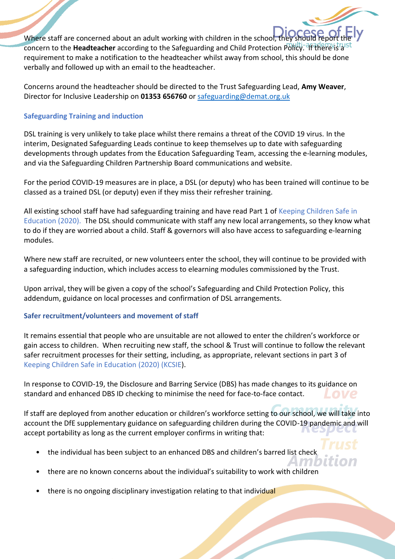Where staff are concerned about an adult working with children in the school, they concern to the **Headteacher** according to the Safeguarding and Child Protection Policy. If there is a requirement to make a notification to the headteacher whilst away from school, this should be done verbally and followed up with an email to the headteacher.

Concerns around the headteacher should be directed to the Trust Safeguarding Lead, **Amy Weaver**, Director for Inclusive Leadership on **01353 656760** or [safeguarding@demat.org.uk](mailto:safeguarding@demat.org.uk)

# **Safeguarding Training and induction**

DSL training is very unlikely to take place whilst there remains a threat of the COVID 19 virus. In the interim, Designated Safeguarding Leads continue to keep themselves up to date with safeguarding developments through updates from the Education Safeguarding Team, accessing the e-learning modules, and via the Safeguarding Children Partnership Board communications and website.

For the period COVID-19 measures are in place, a DSL (or deputy) who has been trained will continue to be classed as a trained DSL (or deputy) even if they miss their refresher training.

All existing school staff have had safeguarding training and have read Part 1 of Keeping Children Safe in Education (2020). The DSL should communicate with staff any new local arrangements, so they know what to do if they are worried about a child. Staff & governors will also have access to safeguarding e-learning modules.

Where new staff are recruited, or new volunteers enter the school, they will continue to be provided with a safeguarding induction, which includes access to elearning modules commissioned by the Trust.

Upon arrival, they will be given a copy of the school's Safeguarding and Child Protection Policy, this addendum, guidance on local processes and confirmation of DSL arrangements.

# **Safer recruitment/volunteers and movement of staff**

It remains essential that people who are unsuitable are not allowed to enter the children's workforce or gain access to children. When recruiting new staff, the school & Trust will continue to follow the relevant safer recruitment processes for their setting, including, as appropriate, relevant sections in part 3 of Keeping Children Safe in Education (2020) (KCSIE).

In response to COVID-19, the Disclosure and Barring Service (DBS) has made changes to its guidance on standard and enhanced DBS ID checking to minimise the need for face-to-face contact.

If staff are deployed from another education or children's workforce setting to our school, we will take into account the DfE supplementary guidance on safeguarding children during the COVID-19 pandemic and will accept portability as long as the current employer confirms in writing that:

Am

- the individual has been subject to an enhanced DBS and children's barred list check
- there are no known concerns about the individual's suitability to work with children
- there is no ongoing disciplinary investigation relating to that individual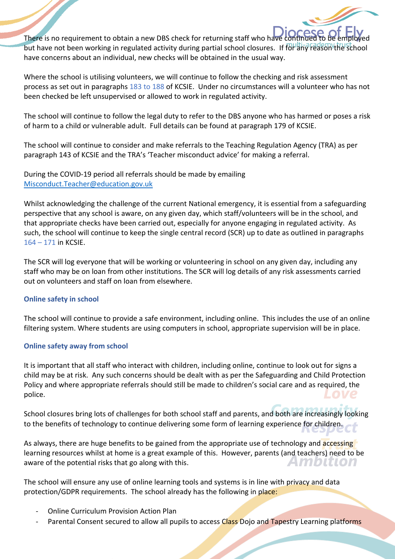There is no requirement to obtain a new DBS check for returning staff who have continued to be to be to be to be to be extending to be extending to be extending to be extending to be extending to be extending to be employe but have not been working in regulated activity during partial school closures. If for any reason the school have concerns about an individual, new checks will be obtained in the usual way.

Where the school is utilising volunteers, we will continue to follow the checking and risk assessment process as set out in paragraphs 183 to 188 of KCSIE. Under no circumstances will a volunteer who has not been checked be left unsupervised or allowed to work in regulated activity.

The school will continue to follow the legal duty to refer to the DBS anyone who has harmed or poses a risk of harm to a child or vulnerable adult. Full details can be found at paragraph 179 of KCSIE.

The school will continue to consider and make referrals to the Teaching Regulation Agency (TRA) as per paragraph 143 of KCSIE and the TRA's 'Teacher misconduct advice' for making a referral.

During the COVID-19 period all referrals should be made by emailing [Misconduct.Teacher@education.gov.uk](mailto:Misconduct.Teacher@education.gov.uk)

Whilst acknowledging the challenge of the current National emergency, it is essential from a safeguarding perspective that any school is aware, on any given day, which staff/volunteers will be in the school, and that appropriate checks have been carried out, especially for anyone engaging in regulated activity. As such, the school will continue to keep the single central record (SCR) up to date as outlined in paragraphs 164 – 171 in KCSIE.

The SCR will log everyone that will be working or volunteering in school on any given day, including any staff who may be on loan from other institutions. The SCR will log details of any risk assessments carried out on volunteers and staff on loan from elsewhere.

# **Online safety in school**

The school will continue to provide a safe environment, including online. This includes the use of an online filtering system. Where students are using computers in school, appropriate supervision will be in place.

#### **Online safety away from school**

It is important that all staff who interact with children, including online, continue to look out for signs a child may be at risk. Any such concerns should be dealt with as per the Safeguarding and Child Protection Policy and where appropriate referrals should still be made to children's social care and as required, the police.

School closures bring lots of challenges for both school staff and parents, and both are increasingly looking to the benefits of technology to continue delivering some form of learning experience for children.

As always, there are huge benefits to be gained from the appropriate use of technology and accessing learning resources whilst at home is a great example of this. However, parents (and teachers) need to be aware of the potential risks that go along with this. ZVANDI I JOJA

The school will ensure any use of online learning tools and systems is in line with privacy and data protection/GDPR requirements. The school already has the following in place:

- Online Curriculum Provision Action Plan
- Parental Consent secured to allow all pupils to access Class Dojo and Tapestry Learning platforms